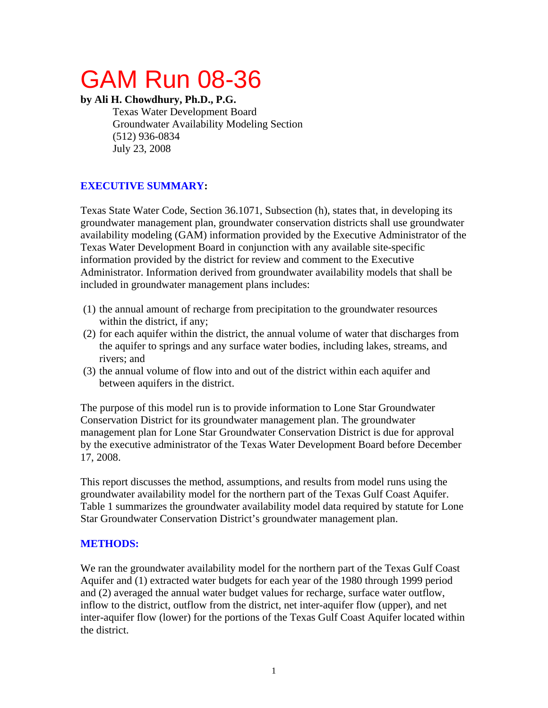# GAM Run 08-36

#### **by Ali H. Chowdhury, Ph.D., P.G.**

Texas Water Development Board Groundwater Availability Modeling Section (512) 936-0834 July 23, 2008

## **EXECUTIVE SUMMARY:**

Texas State Water Code, Section 36.1071, Subsection (h), states that, in developing its groundwater management plan, groundwater conservation districts shall use groundwater availability modeling (GAM) information provided by the Executive Administrator of the Texas Water Development Board in conjunction with any available site-specific information provided by the district for review and comment to the Executive Administrator. Information derived from groundwater availability models that shall be included in groundwater management plans includes:

- (1) the annual amount of recharge from precipitation to the groundwater resources within the district, if any;
- (2) for each aquifer within the district, the annual volume of water that discharges from the aquifer to springs and any surface water bodies, including lakes, streams, and rivers; and
- (3) the annual volume of flow into and out of the district within each aquifer and between aquifers in the district.

The purpose of this model run is to provide information to Lone Star Groundwater Conservation District for its groundwater management plan. The groundwater management plan for Lone Star Groundwater Conservation District is due for approval by the executive administrator of the Texas Water Development Board before December 17, 2008.

This report discusses the method, assumptions, and results from model runs using the groundwater availability model for the northern part of the Texas Gulf Coast Aquifer. Table 1 summarizes the groundwater availability model data required by statute for Lone Star Groundwater Conservation District's groundwater management plan.

## **METHODS:**

We ran the groundwater availability model for the northern part of the Texas Gulf Coast Aquifer and (1) extracted water budgets for each year of the 1980 through 1999 period and (2) averaged the annual water budget values for recharge, surface water outflow, inflow to the district, outflow from the district, net inter-aquifer flow (upper), and net inter-aquifer flow (lower) for the portions of the Texas Gulf Coast Aquifer located within the district.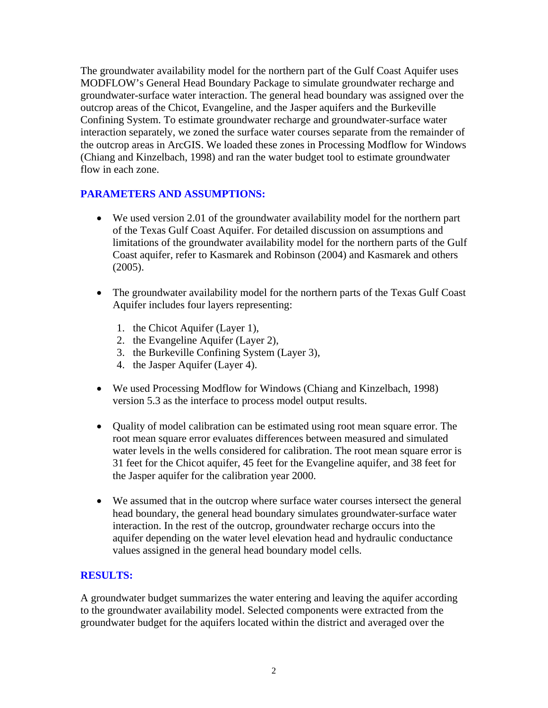The groundwater availability model for the northern part of the Gulf Coast Aquifer uses MODFLOW's General Head Boundary Package to simulate groundwater recharge and groundwater-surface water interaction. The general head boundary was assigned over the outcrop areas of the Chicot, Evangeline, and the Jasper aquifers and the Burkeville Confining System. To estimate groundwater recharge and groundwater-surface water interaction separately, we zoned the surface water courses separate from the remainder of the outcrop areas in ArcGIS. We loaded these zones in Processing Modflow for Windows (Chiang and Kinzelbach, 1998) and ran the water budget tool to estimate groundwater flow in each zone.

## **PARAMETERS AND ASSUMPTIONS:**

- We used version 2.01 of the groundwater availability model for the northern part of the Texas Gulf Coast Aquifer. For detailed discussion on assumptions and limitations of the groundwater availability model for the northern parts of the Gulf Coast aquifer, refer to Kasmarek and Robinson (2004) and Kasmarek and others (2005).
- The groundwater availability model for the northern parts of the Texas Gulf Coast Aquifer includes four layers representing:
	- 1. the Chicot Aquifer (Layer 1),
	- 2. the Evangeline Aquifer (Layer 2),
	- 3. the Burkeville Confining System (Layer 3),
	- 4. the Jasper Aquifer (Layer 4).
- We used Processing Modflow for Windows (Chiang and Kinzelbach, 1998) version 5.3 as the interface to process model output results.
- Quality of model calibration can be estimated using root mean square error. The root mean square error evaluates differences between measured and simulated water levels in the wells considered for calibration. The root mean square error is 31 feet for the Chicot aquifer, 45 feet for the Evangeline aquifer, and 38 feet for the Jasper aquifer for the calibration year 2000.
- We assumed that in the outcrop where surface water courses intersect the general head boundary, the general head boundary simulates groundwater-surface water interaction. In the rest of the outcrop, groundwater recharge occurs into the aquifer depending on the water level elevation head and hydraulic conductance values assigned in the general head boundary model cells.

## **RESULTS:**

A groundwater budget summarizes the water entering and leaving the aquifer according to the groundwater availability model. Selected components were extracted from the groundwater budget for the aquifers located within the district and averaged over the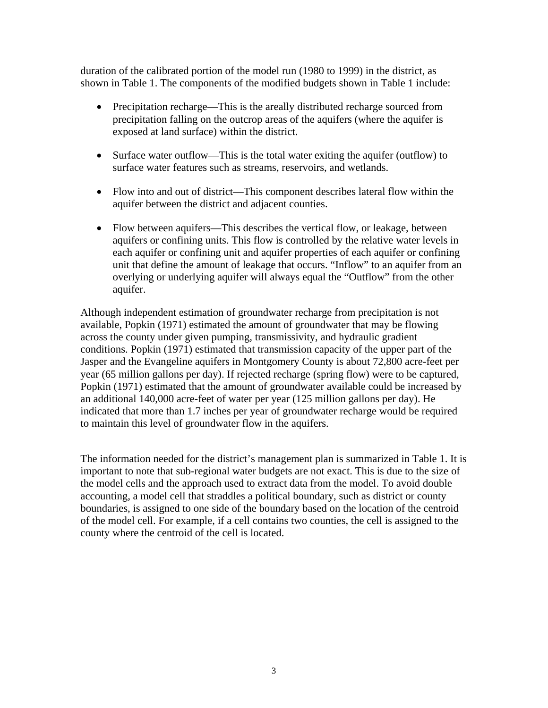duration of the calibrated portion of the model run (1980 to 1999) in the district, as shown in Table 1. The components of the modified budgets shown in Table 1 include:

- Precipitation recharge—This is the areally distributed recharge sourced from precipitation falling on the outcrop areas of the aquifers (where the aquifer is exposed at land surface) within the district.
- Surface water outflow—This is the total water exiting the aquifer (outflow) to surface water features such as streams, reservoirs, and wetlands.
- Flow into and out of district—This component describes lateral flow within the aquifer between the district and adjacent counties.
- Flow between aquifers—This describes the vertical flow, or leakage, between aquifers or confining units. This flow is controlled by the relative water levels in each aquifer or confining unit and aquifer properties of each aquifer or confining unit that define the amount of leakage that occurs. "Inflow" to an aquifer from an overlying or underlying aquifer will always equal the "Outflow" from the other aquifer.

Although independent estimation of groundwater recharge from precipitation is not available, Popkin (1971) estimated the amount of groundwater that may be flowing across the county under given pumping, transmissivity, and hydraulic gradient conditions. Popkin (1971) estimated that transmission capacity of the upper part of the Jasper and the Evangeline aquifers in Montgomery County is about 72,800 acre-feet per year (65 million gallons per day). If rejected recharge (spring flow) were to be captured, Popkin (1971) estimated that the amount of groundwater available could be increased by an additional 140,000 acre-feet of water per year (125 million gallons per day). He indicated that more than 1.7 inches per year of groundwater recharge would be required to maintain this level of groundwater flow in the aquifers.

The information needed for the district's management plan is summarized in Table 1. It is important to note that sub-regional water budgets are not exact. This is due to the size of the model cells and the approach used to extract data from the model. To avoid double accounting, a model cell that straddles a political boundary, such as district or county boundaries, is assigned to one side of the boundary based on the location of the centroid of the model cell. For example, if a cell contains two counties, the cell is assigned to the county where the centroid of the cell is located.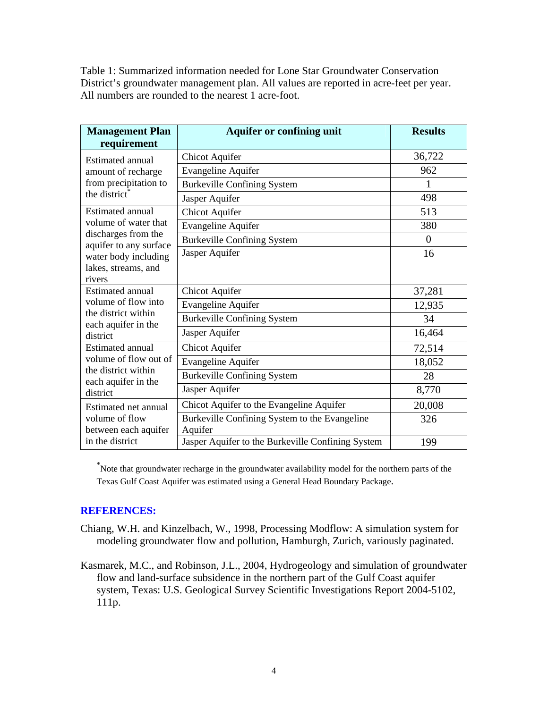Table 1: Summarized information needed for Lone Star Groundwater Conservation District's groundwater management plan. All values are reported in acre-feet per year. All numbers are rounded to the nearest 1 acre-foot.

| <b>Management Plan</b>                                                                                            | <b>Aquifer or confining unit</b>                  | <b>Results</b> |
|-------------------------------------------------------------------------------------------------------------------|---------------------------------------------------|----------------|
| requirement                                                                                                       |                                                   |                |
| Estimated annual<br>amount of recharge<br>from precipitation to<br>the district <sup>®</sup>                      | <b>Chicot Aquifer</b>                             | 36,722         |
|                                                                                                                   | <b>Evangeline Aquifer</b>                         | 962            |
|                                                                                                                   | <b>Burkeville Confining System</b>                | 1              |
|                                                                                                                   | Jasper Aquifer                                    | 498            |
| Estimated annual<br>volume of water that<br>discharges from the<br>aquifer to any surface<br>water body including | <b>Chicot Aquifer</b>                             | 513            |
|                                                                                                                   | <b>Evangeline Aquifer</b>                         | 380            |
|                                                                                                                   | <b>Burkeville Confining System</b>                | $\overline{0}$ |
|                                                                                                                   | Jasper Aquifer                                    | 16             |
| lakes, streams, and                                                                                               |                                                   |                |
| rivers                                                                                                            |                                                   |                |
| <b>Estimated annual</b><br>volume of flow into<br>the district within<br>each aquifer in the<br>district          | <b>Chicot Aquifer</b>                             | 37,281         |
|                                                                                                                   | <b>Evangeline Aquifer</b>                         | 12,935         |
|                                                                                                                   | <b>Burkeville Confining System</b>                | 34             |
|                                                                                                                   | Jasper Aquifer                                    | 16,464         |
| Estimated annual<br>volume of flow out of<br>the district within<br>each aquifer in the<br>district               | <b>Chicot Aquifer</b>                             | 72,514         |
|                                                                                                                   | <b>Evangeline Aquifer</b>                         | 18,052         |
|                                                                                                                   | <b>Burkeville Confining System</b>                | 28             |
|                                                                                                                   | Jasper Aquifer                                    | 8,770          |
| Estimated net annual<br>volume of flow                                                                            | Chicot Aquifer to the Evangeline Aquifer          | 20,008         |
|                                                                                                                   | Burkeville Confining System to the Evangeline     | 326            |
| between each aquifer                                                                                              | Aquifer                                           |                |
| in the district                                                                                                   | Jasper Aquifer to the Burkeville Confining System | 199            |

\* Note that groundwater recharge in the groundwater availability model for the northern parts of the Texas Gulf Coast Aquifer was estimated using a General Head Boundary Package.

#### **REFERENCES:**

- Chiang, W.H. and Kinzelbach, W., 1998, Processing Modflow: A simulation system for modeling groundwater flow and pollution, Hamburgh, Zurich, variously paginated.
- Kasmarek, M.C., and Robinson, J.L., 2004, Hydrogeology and simulation of groundwater flow and land-surface subsidence in the northern part of the Gulf Coast aquifer system, Texas: U.S. Geological Survey Scientific Investigations Report 2004-5102, 111p.